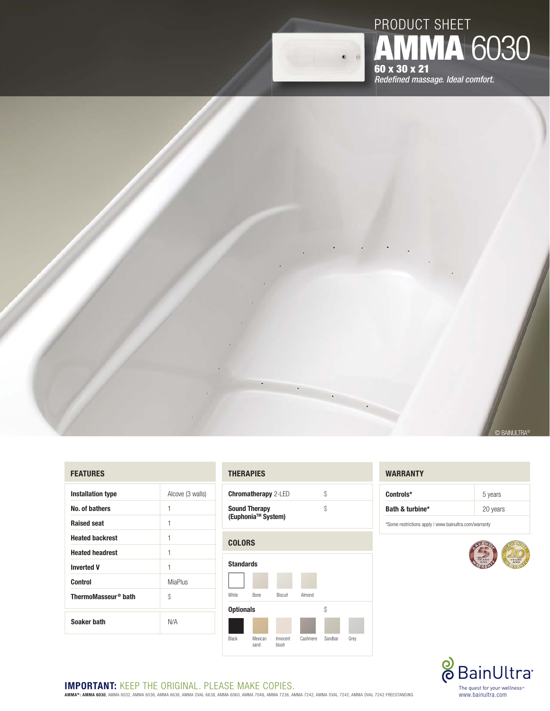

# PRODUCT SHEET **AMMA** 6030 **60 x 30 x 21 6** Redefined massage. Ideal comfort.



#### **FEATURES**

| Alcove (3 walls) |
|------------------|
| 1                |
| 1                |
| 1                |
| 1                |
| 1                |
| <b>MiaPlus</b>   |
| \$               |
| N/A              |
|                  |

#### **THERAPIES**

| <b>Sound Therapy</b><br>(Euphonia <sup>™</sup> System) |  |
|--------------------------------------------------------|--|



#### **WARRANTY**

| Controls*       | 5 years  |
|-----------------|----------|
| Bath & turbine* | 20 years |

\* Some restrictions apply | www.bainultra.com/warranty





# **IMPORTANT: KEEP THE ORIGINAL. PLEASE MAKE COPIES.**

**AMMA® : AMMA 6030**, AMMA 6032, AMMA 6036, AMMA 6636, AMMA OVAL 6638, AMMA 6060, AMMA 7048, AMMA 7236, AMMA 7242, AMMA OVAL 7242, AMMA OVAL 7242 FREESTANDING